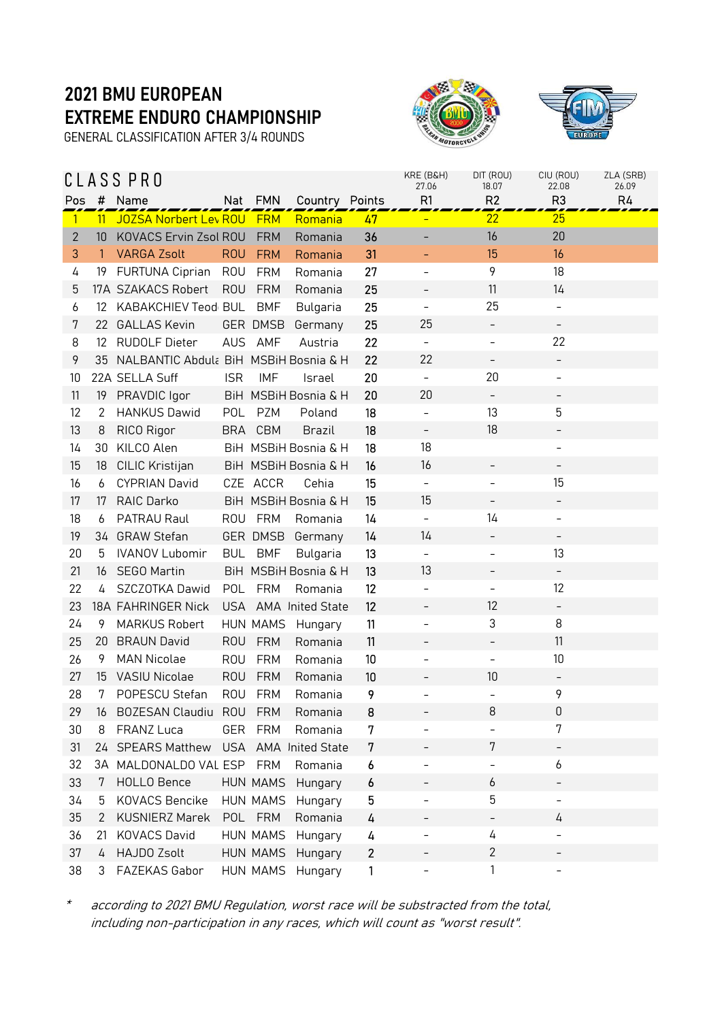GENERAL CLASSIFICATION AFTER 3/4 ROUNDS





|              |                | CLASS PRO                             |            |                 |                         |              | KRE (B&H)<br>27.06       | DIT (ROU)<br>18.07       | CIU (ROU)<br>22.08           | ZLA (SRB)<br>26.09 |
|--------------|----------------|---------------------------------------|------------|-----------------|-------------------------|--------------|--------------------------|--------------------------|------------------------------|--------------------|
| Pos          | #              | Name                                  | Nat        | <b>FMN</b>      | Country Points          |              | R1                       | R <sub>2</sub>           | R <sub>3</sub>               | R4                 |
| $\vert$      | 11             | <b>JOZSA Norbert Lev ROU</b>          |            | <b>FRM</b>      | Romania                 | 47           |                          | 22                       | 25                           |                    |
| $\mathbf{2}$ | 10             | KOVACS Ervin Zsol ROU                 |            | <b>FRM</b>      | Romania                 | 36           |                          | 16                       | 20                           |                    |
| 3            | $\overline{1}$ | <b>VARGA Zsolt</b>                    | <b>ROU</b> | <b>FRM</b>      | Romania                 | 31           |                          | 15                       | 16                           |                    |
| 4            | 19             | FURTUNA Ciprian                       | <b>ROU</b> | <b>FRM</b>      | Romania                 | 27           | $\overline{\phantom{0}}$ | 9                        | 18                           |                    |
| 5            |                | 17A SZAKACS Robert                    | <b>ROU</b> | <b>FRM</b>      | Romania                 | 25           | <sup>-</sup>             | 11                       | 14                           |                    |
| 6            | 12             | KABAKCHIEV Teod BUL                   |            | <b>BMF</b>      | Bulgaria                | 25           | $\qquad \qquad -$        | 25                       | $\overline{\phantom{a}}$     |                    |
| 7            | 22             | <b>GALLAS Kevin</b>                   |            | <b>GER DMSB</b> | Germany                 | 25           | 25                       | $\overline{\phantom{0}}$ | $\overline{\phantom{a}}$     |                    |
| 8            | 12             | <b>RUDOLF Dieter</b>                  |            | AUS AMF         | Austria                 | 22           | $\qquad \qquad -$        |                          | 22                           |                    |
| 9            | 35             | NALBANTIC Abdula BiH MSBiH Bosnia & H |            |                 |                         | 22           | 22                       | $\overline{\phantom{a}}$ | -                            |                    |
| 10           |                | 22A SELLA Suff                        | <b>ISR</b> | <b>IMF</b>      | Israel                  | 20           | $\overline{\phantom{a}}$ | 20                       | $\overline{\phantom{0}}$     |                    |
| 11           | 19             | PRAVDIC Igor                          |            |                 | BiH MSBiH Bosnia & H    | 20           | 20                       | -                        | -                            |                    |
| 12           | 2              | <b>HANKUS Dawid</b>                   | POL        | <b>PZM</b>      | Poland                  | 18           | $\overline{\phantom{a}}$ | 13                       | 5                            |                    |
| 13           | 8              | RICO Rigor                            | <b>BRA</b> | <b>CBM</b>      | <b>Brazil</b>           | 18           | $\overline{\phantom{0}}$ | 18                       | -                            |                    |
| 14           | 30             | KILCO Alen                            |            |                 | BiH MSBiH Bosnia & H    | 18           | 18                       |                          | $\overline{\phantom{a}}$     |                    |
| 15           | 18             | <b>CILIC Kristijan</b>                |            |                 | BiH MSBiH Bosnia & H    | 16           | 16                       |                          |                              |                    |
| 16           | 6              | <b>CYPRIAN David</b>                  |            | CZE ACCR        | Cehia                   | 15           | $\equiv$                 |                          | 15                           |                    |
| 17           | 17             | <b>RAIC Darko</b>                     |            |                 | BiH MSBiH Bosnia & H    | 15           | 15                       | $\qquad \qquad -$        | $\overline{\phantom{a}}$     |                    |
| 18           | 6              | PATRAU Raul                           |            | ROU FRM         | Romania                 | 14           | $\qquad \qquad -$        | 14                       | -                            |                    |
| 19           | 34             | <b>GRAW Stefan</b>                    |            | GER DMSB        | Germany                 | 14           | 14                       | -                        | $\overline{\phantom{a}}$     |                    |
| 20           | 5              | <b>IVANOV Lubomir</b>                 |            | BUL BMF         | Bulgaria                | 13           | $\qquad \qquad -$        |                          | 13                           |                    |
| 21           | 16             | <b>SEGO Martin</b>                    |            |                 | BiH MSBiH Bosnia & H    | 13           | 13                       |                          | $\qquad \qquad -$            |                    |
| 22           | 4              | SZCZOTKA Dawid                        | POL        | <b>FRM</b>      | Romania                 | 12           | $\overline{\phantom{0}}$ |                          | 12                           |                    |
| 23           |                | 18A FAHRINGER Nick                    |            |                 | USA AMA Inited State    | 12           | $\overline{\phantom{0}}$ | 12                       | $\qquad \qquad \blacksquare$ |                    |
| 24           | 9              | <b>MARKUS Robert</b>                  |            | HUN MAMS        | Hungary                 | 11           | $\overline{\phantom{0}}$ | 3                        | 8                            |                    |
| 25           |                | 20 BRAUN David                        | <b>ROU</b> | <b>FRM</b>      | Romania                 | 11           |                          |                          | 11                           |                    |
| 26           | 9              | <b>MAN Nicolae</b>                    | <b>ROU</b> | <b>FRM</b>      | Romania                 | 10           | $\overline{a}$           | $\overline{\phantom{0}}$ | 10                           |                    |
| 27           |                | 15 VASIU Nicolae                      | <b>ROU</b> | <b>FRM</b>      | Romania                 | 10           |                          | 10                       | $\overline{\phantom{a}}$     |                    |
| 28           | 7              | POPESCU Stefan                        | <b>ROU</b> | <b>FRM</b>      | Romania                 | 9            |                          |                          | 9                            |                    |
| 29           | 16             | BOZESAN Claudiu ROU FRM               |            |                 | Romania                 | 8            |                          | 8                        | 0                            |                    |
| 30           | 8              | FRANZ Luca                            | GER        | <b>FRM</b>      | Romania                 | 7            |                          |                          | 7                            |                    |
| 31           | 24             | <b>SPEARS Matthew</b>                 | <b>USA</b> |                 | <b>AMA</b> Inited State | 7            |                          | 7                        | -                            |                    |
| 32           |                | 3A MALDONALDO VAL ESP                 |            | <b>FRM</b>      | Romania                 | 6            | $\overline{a}$           |                          | 6                            |                    |
| 33           | 7              | <b>HOLLO Bence</b>                    |            | <b>HUN MAMS</b> | Hungary                 | 6            | $\overline{\phantom{0}}$ | 6                        | -                            |                    |
| 34           | 5              | <b>KOVACS Bencike</b>                 |            | HUN MAMS        | Hungary                 | 5            |                          | 5                        |                              |                    |
| 35           | 2              | <b>KUSNIERZ Marek</b>                 |            | POL FRM         | Romania                 | 4            | <sup>-</sup>             | $\overline{\phantom{0}}$ | 4                            |                    |
| 36           | 21             | <b>KOVACS David</b>                   |            | <b>HUN MAMS</b> | Hungary                 | 4            | -                        | 4                        | $\qquad \qquad -$            |                    |
| 37           | 4              | <b>HAJDO Zsolt</b>                    |            | HUN MAMS        | Hungary                 | $\mathbf{2}$ |                          | $\mathbf{2}$             |                              |                    |
| 38           | 3              | FAZEKAS Gabor                         |            | HUN MAMS        | Hungary                 | 1            | $\overline{\phantom{0}}$ | 1                        | -                            |                    |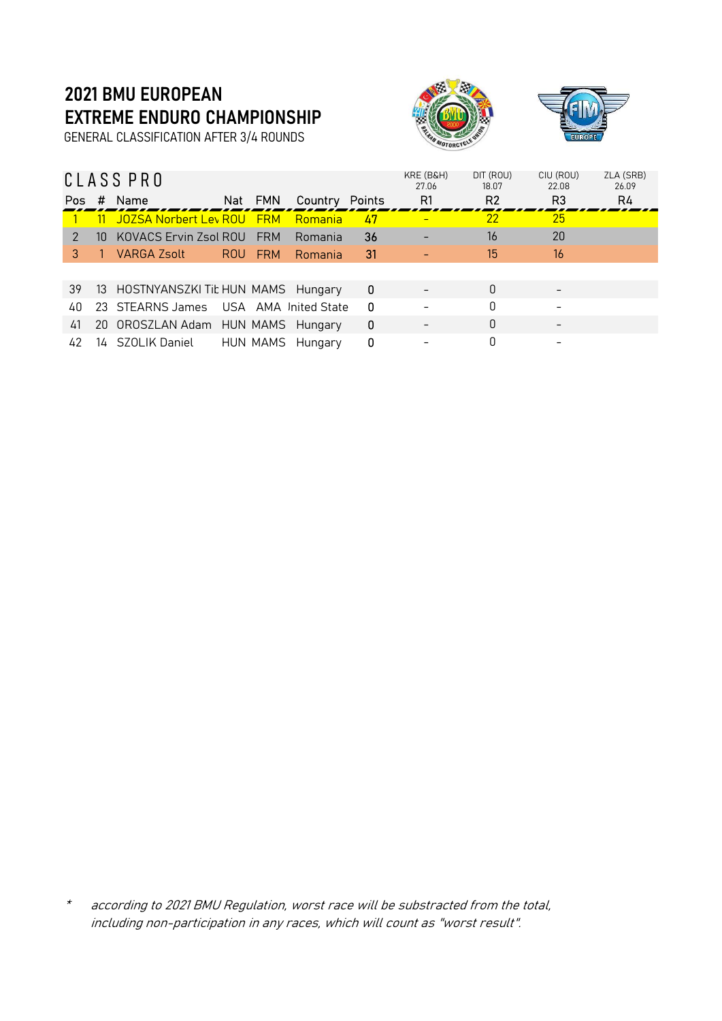GENERAL CLASSIFICATION AFTER 3/4 ROUNDS





|               |    | CLASS PRO                            |            |                      |     | KRE (B&H)<br>27.06 | DIT (ROU)<br>18.07 | CIU (ROU)<br>22.08 | ZLA (SRB)<br>26.09 |
|---------------|----|--------------------------------------|------------|----------------------|-----|--------------------|--------------------|--------------------|--------------------|
| Pos.          | #  | Name                                 | Nat FMN    | Country Points       |     | R1                 | R <sub>2</sub>     | R <sub>3</sub>     | R4                 |
|               |    | JOZSA Norbert Lev ROU FRM            |            | Romania              | 47  | -                  | 22                 | 25                 |                    |
| $\mathcal{P}$ | 10 | KOVACS Ervin Zsol ROU                | <b>FRM</b> | Romania              | 36  |                    | 16                 | 20                 |                    |
| З             |    | VARGA Zsolt                          | ROU FRM    | Romania              | -31 |                    | 15                 | 16                 |                    |
|               |    |                                      |            |                      |     |                    |                    |                    |                    |
| 39            |    | 13 HOSTNYANSZKI Tit HUN MAMS Hungary |            |                      | 0   |                    | 0                  |                    |                    |
| 40            |    | 23 STEARNS James                     |            | USA AMA Inited State | 0   |                    | $\Omega$           |                    |                    |
| 41            |    | 20 OROSZLAN Adam HUN MAMS Hungary    |            |                      | 0   |                    | $\Omega$           |                    |                    |
| 42            |    | 14 SZOLIK Daniel                     |            | HUN MAMS Hungary     | 0   |                    | 0                  |                    |                    |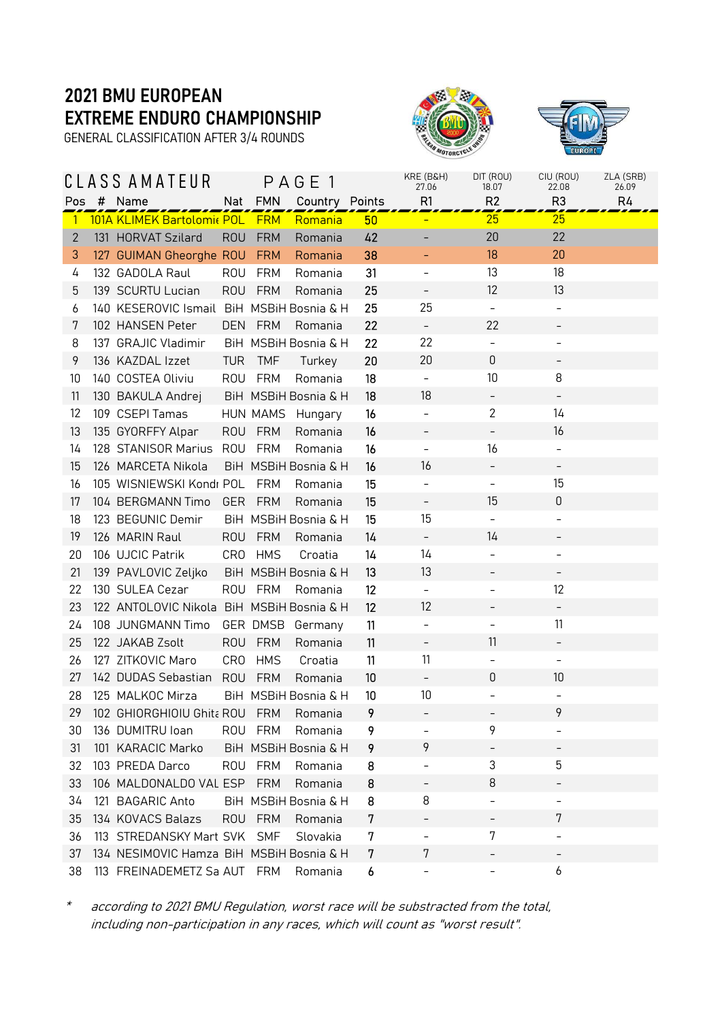GENERAL CLASSIFICATION AFTER 3/4 ROUNDS





|              |   | CLASS AMATEUR                             |                 |            | PAGE 1               |    | KRE (B&H)<br>27.06       | DIT (ROU)<br>18.07       | CIU (ROU)<br>22.08       | ZLA (SRB)<br>26.09 |
|--------------|---|-------------------------------------------|-----------------|------------|----------------------|----|--------------------------|--------------------------|--------------------------|--------------------|
| Pos          | # | Name                                      | Nat             | <b>FMN</b> | Country Points       |    | R1                       | R <sub>2</sub>           | R <sub>3</sub>           | R4                 |
| $\mathbf{1}$ |   | 101A KLIMEK Bartolomi« POL FRM            |                 |            | Romania              | 50 |                          | 25                       | 25                       |                    |
| $\mathbf{2}$ |   | 131 HORVAT Szilard                        | <b>ROU</b>      | <b>FRM</b> | Romania              | 42 |                          | 20                       | 22                       |                    |
| 3            |   | 127 GUIMAN Gheorghe ROU                   |                 | <b>FRM</b> | Romania              | 38 |                          | 18                       | 20                       |                    |
| 4            |   | 132 GADOLA Raul                           | <b>ROU</b>      | FRM        | Romania              | 31 | $\qquad \qquad -$        | 13                       | 18                       |                    |
| 5            |   | 139 SCURTU Lucian                         | <b>ROU</b>      | <b>FRM</b> | Romania              | 25 | $\qquad \qquad -$        | 12                       | 13                       |                    |
| 6            |   | 140 KESEROVIC Ismail BiH MSBiH Bosnia & H |                 |            |                      | 25 | 25                       | $\overline{\phantom{a}}$ | $\qquad \qquad -$        |                    |
| 7            |   | 102 HANSEN Peter                          | <b>DEN</b>      | <b>FRM</b> | Romania              | 22 | $\overline{\phantom{a}}$ | 22                       |                          |                    |
| 8            |   | 137 GRAJIC Vladimir                       |                 |            | BiH MSBiH Bosnia & H | 22 | 22                       | $\overline{\phantom{a}}$ | $\qquad \qquad -$        |                    |
| 9            |   | 136 KAZDAL Izzet                          | <b>TUR</b>      | <b>TMF</b> | Turkey               | 20 | 20                       | 0                        | -                        |                    |
| 10           |   | 140 COSTEA Oliviu                         | <b>ROU</b>      | <b>FRM</b> | Romania              | 18 | $\overline{\phantom{a}}$ | 10                       | 8                        |                    |
| 11           |   | 130 BAKULA Andrej                         |                 |            | BiH MSBiH Bosnia & H | 18 | 18                       |                          |                          |                    |
| 12           |   | 109 CSEPI Tamas                           |                 | HUN MAMS   | Hungary              | 16 | $\overline{\phantom{a}}$ | $\overline{2}$           | 14                       |                    |
| 13           |   | 135 GYORFFY Alpar                         | <b>ROU</b>      | <b>FRM</b> | Romania              | 16 | $\overline{\phantom{0}}$ |                          | 16                       |                    |
| 14           |   | 128 STANISOR Marius                       | <b>ROU</b>      | FRM        | Romania              | 16 | $\overline{\phantom{0}}$ | 16                       | $\overline{\phantom{a}}$ |                    |
| 15           |   | 126 MARCETA Nikola                        |                 |            | BiH MSBiH Bosnia & H | 16 | 16                       |                          | -                        |                    |
| 16           |   | 105 WISNIEWSKI Kondr POL                  |                 | FRM        | Romania              | 15 | $\overline{\phantom{0}}$ | $\overline{\phantom{0}}$ | 15                       |                    |
| 17           |   | 104 BERGMANN Timo                         | <b>GER</b>      | FRM        | Romania              | 15 | $\qquad \qquad -$        | 15                       | 0                        |                    |
| 18           |   | 123 BEGUNIC Demir                         |                 |            | BiH MSBiH Bosnia & H | 15 | 15                       |                          | $\qquad \qquad -$        |                    |
| 19           |   | 126 MARIN Raul                            | <b>ROU</b>      | FRM        | Romania              | 14 | $\overline{\phantom{a}}$ | 14                       |                          |                    |
| 20           |   | 106 UJCIC Patrik                          | CR <sub>0</sub> | <b>HMS</b> | Croatia              | 14 | 14                       |                          | $\qquad \qquad -$        |                    |
| 21           |   | 139 PAVLOVIC Zeljko                       |                 |            | BiH MSBiH Bosnia & H | 13 | 13                       |                          | -                        |                    |
| 22           |   | 130 SULEA Cezar                           | <b>ROU</b>      | FRM        | Romania              | 12 | $\overline{\phantom{a}}$ | $\qquad \qquad -$        | 12                       |                    |
| 23           |   | 122 ANTOLOVIC Nikola BiH MSBiH Bosnia & H |                 |            |                      | 12 | 12                       |                          | -                        |                    |
| 24           |   | 108 JUNGMANN Timo                         |                 | GER DMSB   | Germany              | 11 | $\overline{\phantom{a}}$ | -                        | 11                       |                    |
| 25           |   | 122 JAKAB Zsolt                           | <b>ROU</b>      | FRM        | Romania              | 11 | $\overline{\phantom{0}}$ | 11                       |                          |                    |
| 26           |   | 127 ZITKOVIC Maro                         | CR <sub>0</sub> | <b>HMS</b> | Croatia              | 11 | 11                       |                          | $\overline{\phantom{a}}$ |                    |
| 27           |   | 142 DUDAS Sebastian                       | <b>ROU</b>      | <b>FRM</b> | Romania              | 10 | $\overline{\phantom{a}}$ | 0                        | 10                       |                    |
| 28           |   | 125 MALKOC Mirza                          |                 |            | BiH MSBiH Bosnia & H | 10 | 10                       |                          | $\qquad \qquad -$        |                    |
| 29           |   | 102 GHIORGHIOIU Ghita ROU FRM Romania     |                 |            |                      | 9  |                          |                          | 9                        |                    |
| 30           |   | 136 DUMITRU Ioan                          |                 | ROU FRM    | Romania              | 9  |                          | 9                        |                          |                    |
| 31           |   | 101 KARACIC Marko                         |                 |            | BiH MSBiH Bosnia & H | 9  | 9                        | -                        |                          |                    |
| 32           |   | 103 PREDA Darco                           | <b>ROU</b>      | <b>FRM</b> | Romania              | 8  | $\overline{\phantom{0}}$ | 3                        | 5                        |                    |
| 33           |   | 106 MALDONALDO VAL ESP                    |                 | <b>FRM</b> | Romania              | 8  | <sup>-</sup>             | 8                        |                          |                    |
| 34           |   | 121 BAGARIC Anto                          |                 |            | BiH MSBiH Bosnia & H | 8  | 8                        |                          |                          |                    |
| 35           |   | 134 KOVACS Balazs                         | <b>ROU</b>      | FRM        | Romania              | 7  |                          |                          | 7                        |                    |
| 36           |   | 113 STREDANSKY Mart SVK SMF               |                 |            | Slovakia             | 7  | $\overline{\phantom{0}}$ | 7                        | $\overline{\phantom{a}}$ |                    |
| 37           |   | 134 NESIMOVIC Hamza BiH MSBiH Bosnia & H  |                 |            |                      | 7  | 7                        |                          |                          |                    |
| 38           |   | 113 FREINADEMETZ Sa AUT FRM               |                 |            | Romania              | 6  | $\overline{\phantom{0}}$ |                          | 6                        |                    |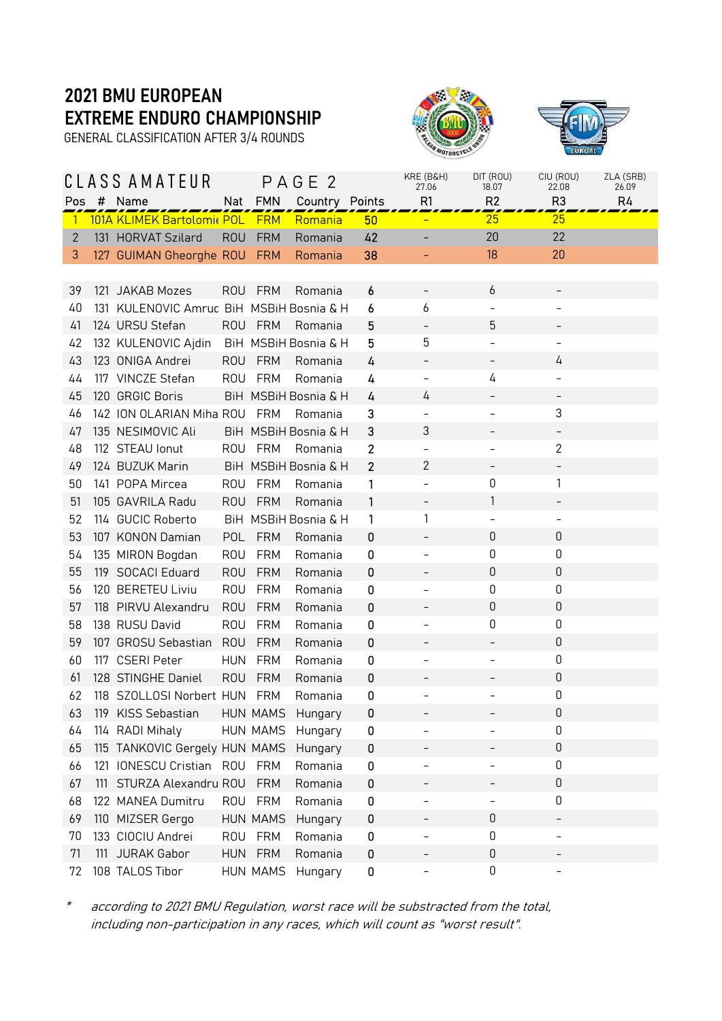GENERAL CLASSIFICATION AFTER 3/4 ROUNDS





|              |     | CLASS AMATEUR                            |            |                 | PAGE 2               |              | KRE (B&H)<br>27.06       | DIT (ROU)<br>18.07 | CIU (ROU)<br>22.08       | ZLA (SRB)<br>26.09 |
|--------------|-----|------------------------------------------|------------|-----------------|----------------------|--------------|--------------------------|--------------------|--------------------------|--------------------|
| Pos          | #   | Name                                     | Nat        | <b>FMN</b>      | Country Points       |              | R1                       | R <sub>2</sub>     | R <sub>3</sub>           | R4                 |
| $\mathbf{1}$ |     | 101A KLIMEK Bartolomic POL FRM           |            |                 | Romania              | 50           |                          | 25                 | 25                       |                    |
| $\mathbf{2}$ |     | 131 HORVAT Szilard                       | <b>ROU</b> | <b>FRM</b>      | Romania              | 42           |                          | 20                 | 22                       |                    |
| 3            |     | 127 GUIMAN Gheorghe ROU                  |            | <b>FRM</b>      | Romania              | 38           |                          | 18                 | 20                       |                    |
|              |     |                                          |            |                 |                      |              |                          |                    |                          |                    |
| 39           |     | 121 JAKAB Mozes                          | <b>ROU</b> | <b>FRM</b>      | Romania              | 6            | $\qquad \qquad -$        | 6                  |                          |                    |
| 40           |     | 131 KULENOVIC Amrud BiH MSBIH Bosnia & H |            |                 |                      | 6            | 6                        |                    |                          |                    |
| 41           |     | 124 URSU Stefan                          |            | ROU FRM         | Romania              | 5            | $\overline{\phantom{0}}$ | 5                  |                          |                    |
| 42           |     | 132 KULENOVIC Ajdin                      |            |                 | BiH MSBiH Bosnia & H | 5            | 5                        |                    |                          |                    |
| 43           |     | 123 ONIGA Andrei                         | <b>ROU</b> | <b>FRM</b>      | Romania              | 4            |                          |                    | 4                        |                    |
| 44           |     | 117 VINCZE Stefan                        | <b>ROU</b> | FRM             | Romania              | 4            | $\qquad \qquad -$        | 4                  |                          |                    |
| 45           |     | 120 GRGIC Boris                          |            |                 | BiH MSBiH Bosnia & H | 4            | 4                        |                    |                          |                    |
| 46           |     | 142 ION OLARIAN Miha ROU                 |            | <b>FRM</b>      | Romania              | 3            | $\overline{\phantom{a}}$ |                    | 3                        |                    |
| 47           |     | 135 NESIMOVIC Ali                        |            |                 | BiH MSBiH Bosnia & H | 3            | 3                        |                    |                          |                    |
| 48           |     | 112 STEAU lonut                          |            | ROU FRM         | Romania              | $\mathbf{2}$ | $\qquad \qquad -$        |                    | 2                        |                    |
| 49           |     | 124 BUZUK Marin                          |            |                 | BiH MSBiH Bosnia & H | $\mathbf{2}$ | $\overline{c}$           |                    |                          |                    |
| 50           |     | 141 POPA Mircea                          | <b>ROU</b> | FRM             | Romania              | 1            | $\overline{\phantom{0}}$ | 0                  | 1                        |                    |
| 51           |     | 105 GAVRILA Radu                         | <b>ROU</b> | <b>FRM</b>      | Romania              | 1            | $\qquad \qquad -$        | 1                  | $\overline{\phantom{0}}$ |                    |
| 52           |     | 114 GUCIC Roberto                        |            |                 | BiH MSBiH Bosnia & H | 1            | 1                        |                    |                          |                    |
| 53           |     | 107 KONON Damian                         | POL        | <b>FRM</b>      | Romania              | 0            | $\overline{\phantom{0}}$ | 0                  | 0                        |                    |
| 54           |     | 135 MIRON Bogdan                         | <b>ROU</b> | FRM             | Romania              | 0            |                          | 0                  | 0                        |                    |
| 55           |     | 119 SOCACI Eduard                        | <b>ROU</b> | <b>FRM</b>      | Romania              | 0            |                          | 0                  | 0                        |                    |
| 56           |     | 120 BERETEU Liviu                        | <b>ROU</b> | <b>FRM</b>      | Romania              | 0            | $\qquad \qquad -$        | 0                  | 0                        |                    |
| 57           |     | 118 PIRVU Alexandru                      | <b>ROU</b> | <b>FRM</b>      | Romania              | 0            |                          | 0                  | $\boldsymbol{0}$         |                    |
| 58           |     | 138 RUSU David                           | <b>ROU</b> | <b>FRM</b>      | Romania              | 0            | $\qquad \qquad -$        | 0                  | 0                        |                    |
| 59           |     | 107 GROSU Sebastian                      | <b>ROU</b> | <b>FRM</b>      | Romania              | 0            |                          |                    | $\boldsymbol{0}$         |                    |
| 60           |     | 117 CSERI Peter                          | <b>HUN</b> | FRM             | Romania              | 0            | $\qquad \qquad -$        |                    | 0                        |                    |
| 61           |     | 128 STINGHE Daniel                       | <b>ROU</b> | <b>FRM</b>      | Romania              | 0            |                          |                    | $\boldsymbol{0}$         |                    |
| 62           |     | 118 SZOLLOSI Norbert HUN                 |            | FRM             | Romania              | 0            |                          |                    | 0                        |                    |
| 63.          |     | 119 KISS Sebastian                       |            | HUN MAMS        | Hungary              | 0            |                          |                    | 0                        |                    |
| 64           |     | 114 RADI Mihaly                          |            | HUN MAMS        | Hungary              | 0            |                          |                    | 0                        |                    |
| 65           |     | 115 TANKOVIC Gergely HUN MAMS            |            |                 | Hungary              | 0            |                          |                    | $\boldsymbol{0}$         |                    |
| 66           |     | 121 IONESCU Cristian ROU                 |            | FRM             | Romania              | 0            |                          |                    | 0                        |                    |
| 67           |     | 111 STURZA Alexandru ROU                 |            | <b>FRM</b>      | Romania              | 0            |                          |                    | 0                        |                    |
| 68           |     | 122 MANEA Dumitru                        | <b>ROU</b> | <b>FRM</b>      | Romania              | 0            |                          |                    | $\boldsymbol{0}$         |                    |
| 69           | 110 | MIZSER Gergo                             |            | <b>HUN MAMS</b> | Hungary              | 0            |                          | 0                  |                          |                    |
| 70           |     | 133 CIOCIU Andrei                        | <b>ROU</b> | <b>FRM</b>      | Romania              | $\bf{0}$     | $\overline{\phantom{0}}$ | 0                  | $\overline{\phantom{0}}$ |                    |
| 71           | 111 | <b>JURAK Gabor</b>                       | <b>HUN</b> | <b>FRM</b>      | Romania              | 0            |                          | 0                  |                          |                    |
| 72           |     | 108 TALOS Tibor                          |            | HUN MAMS        | Hungary              | 0            | $\overline{\phantom{0}}$ | 0                  | <sup>-</sup>             |                    |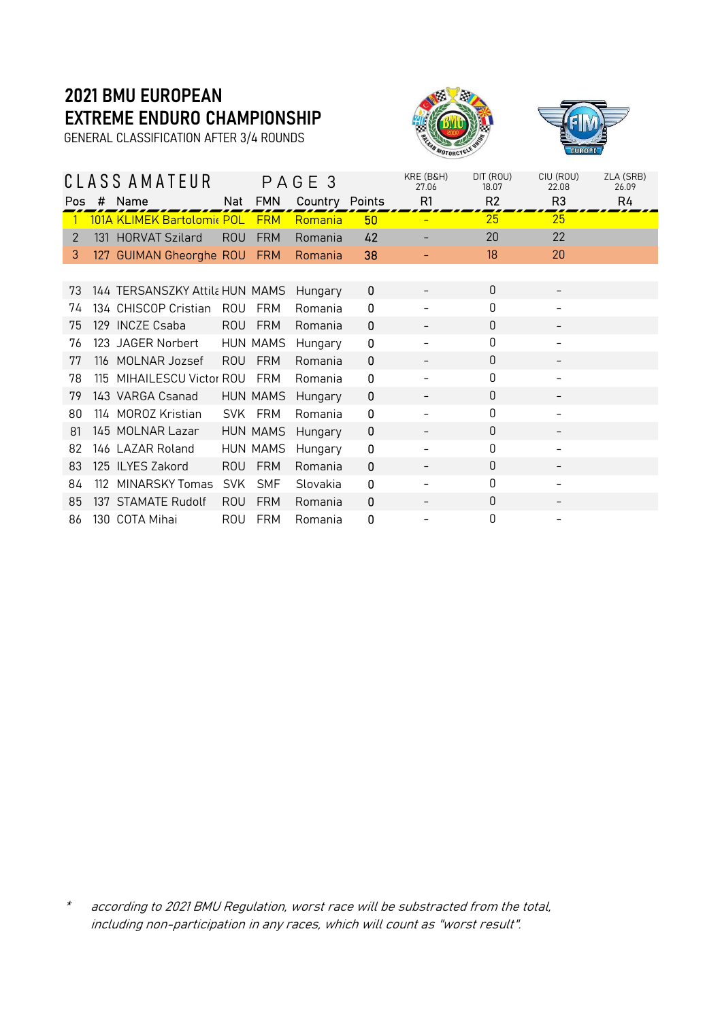GENERAL CLASSIFICATION AFTER 3/4 ROUNDS





|            |     | CLASS AMATEUR                  |            |                 | PAGE 3         |    | KRE (B&H)<br>27.06 | DIT (ROU)<br>18.07 | CIU (ROU)<br>22.08 | ZLA (SRB)<br>26.09 |
|------------|-----|--------------------------------|------------|-----------------|----------------|----|--------------------|--------------------|--------------------|--------------------|
| <b>Pos</b> | #   | Name                           | Nat        | <b>FMN</b>      | Country Points |    | R <sub>1</sub>     | R <sub>2</sub>     | R <sub>3</sub>     | R4                 |
|            |     | 101A KLIMEK Bartolomic POL     |            | <b>FRM</b>      | Romania        | 50 |                    | 25                 | 25                 |                    |
| 2          |     | 131 HORVAT Szilard             | <b>ROU</b> | <b>FRM</b>      | Romania        | 42 |                    | 20                 | 22                 |                    |
| 3          |     | 127 GUIMAN Gheorghe ROU        |            | <b>FRM</b>      | Romania        | 38 |                    | 18                 | 20                 |                    |
|            |     |                                |            |                 |                |    |                    |                    |                    |                    |
| 73         |     | 144 TERSANSZKY Attila HUN MAMS |            |                 | Hungary        | 0  |                    | $\Omega$           |                    |                    |
| 74         |     | 134 CHISCOP Cristian           | ROU        | <b>FRM</b>      | Romania        | 0  |                    | 0                  |                    |                    |
| 75         |     | 129 INCZE Csaba                | <b>ROU</b> | <b>FRM</b>      | Romania        | 0  |                    | $\Omega$           |                    |                    |
| 76         |     | 123 JAGER Norbert              |            | HUN MAMS        | Hungary        | 0  |                    | 0                  |                    |                    |
| 77         |     | 116 MOLNAR Jozsef              | <b>ROU</b> | <b>FRM</b>      | Romania        | 0  |                    | 0                  |                    |                    |
| 78         | 115 | MIHAILESCU Victor ROU          |            | <b>FRM</b>      | Romania        | 0  |                    | $\mathbf 0$        |                    |                    |
| 79         |     | 143 VARGA Csanad               |            | <b>HUN MAMS</b> | Hungary        | 0  |                    | $\Omega$           |                    |                    |
| 80         |     | 114 MOROZ Kristian             |            | SVK FRM         | Romania        | 0  |                    | 0                  |                    |                    |
| 81         |     | 145 MOLNAR Lazar               |            | <b>HUN MAMS</b> | Hungary        | 0  |                    | $\Omega$           |                    |                    |
| 82         |     | 146 LAZAR Roland               |            | <b>HUN MAMS</b> | Hungary        | 0  |                    | $\mathbf 0$        | -                  |                    |
| 83         |     | 125 ILYES Zakord               | <b>ROU</b> | <b>FRM</b>      | Romania        | 0  |                    | 0                  |                    |                    |
| 84         | 112 | <b>MINARSKY Tomas</b>          | <b>SVK</b> | <b>SMF</b>      | Slovakia       | 0  |                    | $\mathbf 0$        |                    |                    |
| 85         |     | 137 STAMATE Rudolf             | <b>ROU</b> | <b>FRM</b>      | Romania        | 0  |                    | $\mathbf 0$        |                    |                    |
| 86         |     | 130 COTA Mihai                 | <b>ROU</b> | <b>FRM</b>      | Romania        | 0  |                    | 0                  |                    |                    |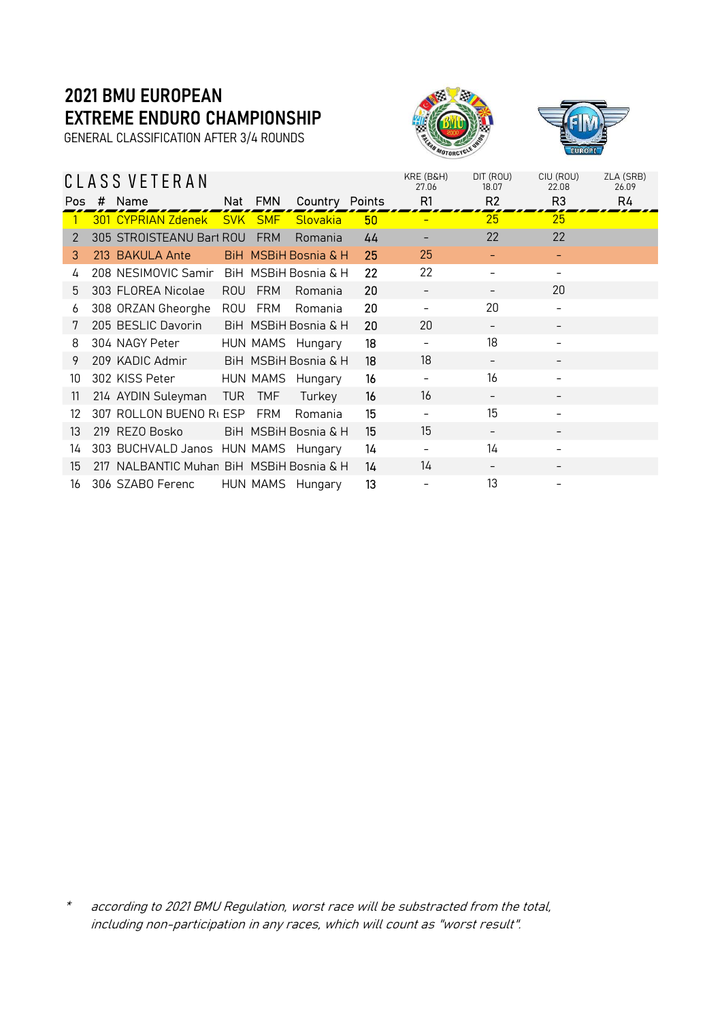GENERAL CLASSIFICATION AFTER 3/4 ROUNDS



|     | CLASS VETERAN                            |      |                |                                 |    | KRE (B&H)<br>27.06 | DIT (ROU)<br>18.07 | CIU (ROU)<br>22.08       | ZLA (SRB)<br>26.09 |
|-----|------------------------------------------|------|----------------|---------------------------------|----|--------------------|--------------------|--------------------------|--------------------|
| Pos | # Name                                   |      | Nat FMN        | Country Points                  |    | R1                 | R <sub>2</sub>     | R <sub>3</sub>           | R4                 |
|     | 301 CYPRIAN Zdenek                       |      | <b>SVK SMF</b> | Slovakia                        | 50 |                    | 25                 | 25                       |                    |
| 2   | 305 STROISTEANU Bart ROU                 |      | <b>FRM</b>     | Romania                         | 44 |                    | 22                 | 22                       |                    |
| 3   | 213 BAKULA Ante                          |      |                | <b>BiH MSBiH Bosnia &amp; H</b> | 25 | 25                 |                    |                          |                    |
| 4   | 208 NESIMOVIC Samir                      |      |                | BiH MSBiH Bosnia & H            | 22 | 22                 |                    |                          |                    |
| 5   | 303 FLOREA Nicolae                       | ROU  | <b>FRM</b>     | Romania                         | 20 |                    |                    | 20                       |                    |
| 6   | 308 ORZAN Gheorghe                       | ROU  | FRM            | Romania                         | 20 |                    | 20                 | -                        |                    |
| 7   | 205 BESLIC Davorin                       |      |                | BiH MSBiH Bosnia & H            | 20 | 20                 | -                  | -                        |                    |
| 8   | 304 NAGY Peter                           |      |                | HUN MAMS Hungary                | 18 |                    | 18                 |                          |                    |
| 9   | 209 KADIC Admir                          |      |                | BiH MSBiH Bosnia & H            | 18 | 18                 | -                  | $\overline{\phantom{a}}$ |                    |
| 10  | 302 KISS Peter                           |      |                | HUN MAMS Hungary                | 16 | $\qquad \qquad -$  | 16                 | $\overline{\phantom{a}}$ |                    |
| 11  | 214 AYDIN Suleyman                       | TUR. | <b>TMF</b>     | Turkey                          | 16 | 16                 |                    |                          |                    |
| 12  | 307 ROLLON BUENO Rt ESP                  |      | FRM            | Romania                         | 15 |                    | 15                 |                          |                    |
| 13  | 219 REZO Bosko                           |      |                | BiH MSBiH Bosnia & H            | 15 | 15                 |                    |                          |                    |
| 14  | 303 BUCHVALD Janos HUN MAMS Hungary      |      |                |                                 | 14 |                    | 14                 |                          |                    |
| 15  | 217 NALBANTIC Muhan BiH MSBIH Bosnia & H |      |                |                                 | 14 | 14                 |                    |                          |                    |
| 16  | 306 SZABO Ferenc                         |      |                | HUN MAMS Hungary                | 13 |                    | 13                 |                          |                    |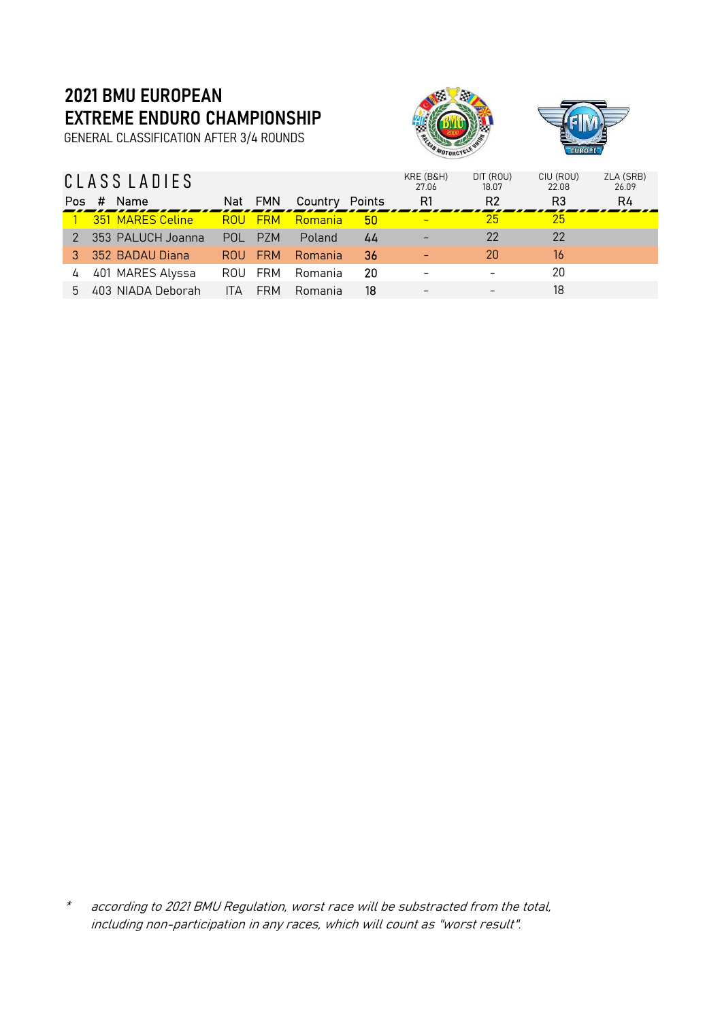GENERAL CLASSIFICATION AFTER 3/4 ROUNDS



|     | CLASS LADIES      |                    |                |    | KRE (B&H)<br>27.06 | DIT (ROU)<br>18.07 | CIU (ROU)<br>22 QB | ZLA (SRB)<br>26.09 |
|-----|-------------------|--------------------|----------------|----|--------------------|--------------------|--------------------|--------------------|
| Pos | Name<br>#         | <b>FMN</b><br>Nat  | Country Points |    | R1                 | R <sub>2</sub>     | R3                 | R4                 |
|     | 351 MARES Celine  | <b>FRM</b><br>ROU  | Romania        | 50 |                    | 25                 | 25                 |                    |
|     | 353 PALUCH Joanna | POL.<br>P7M        | Poland         | 44 |                    | 22                 | 22                 |                    |
|     | 352 BADAU Diana   | <b>FRM</b><br>ROU. | Romania        | 36 |                    | 20                 | 16                 |                    |
|     | 401 MARES Alyssa  | FRM<br>ROU         | Romania        | 20 |                    |                    | 20                 |                    |
| 5.  | 403 NIADA Deborah | <b>FRM</b><br>ITA  | Romania        | 18 | $\qquad \qquad$    |                    | 18                 |                    |